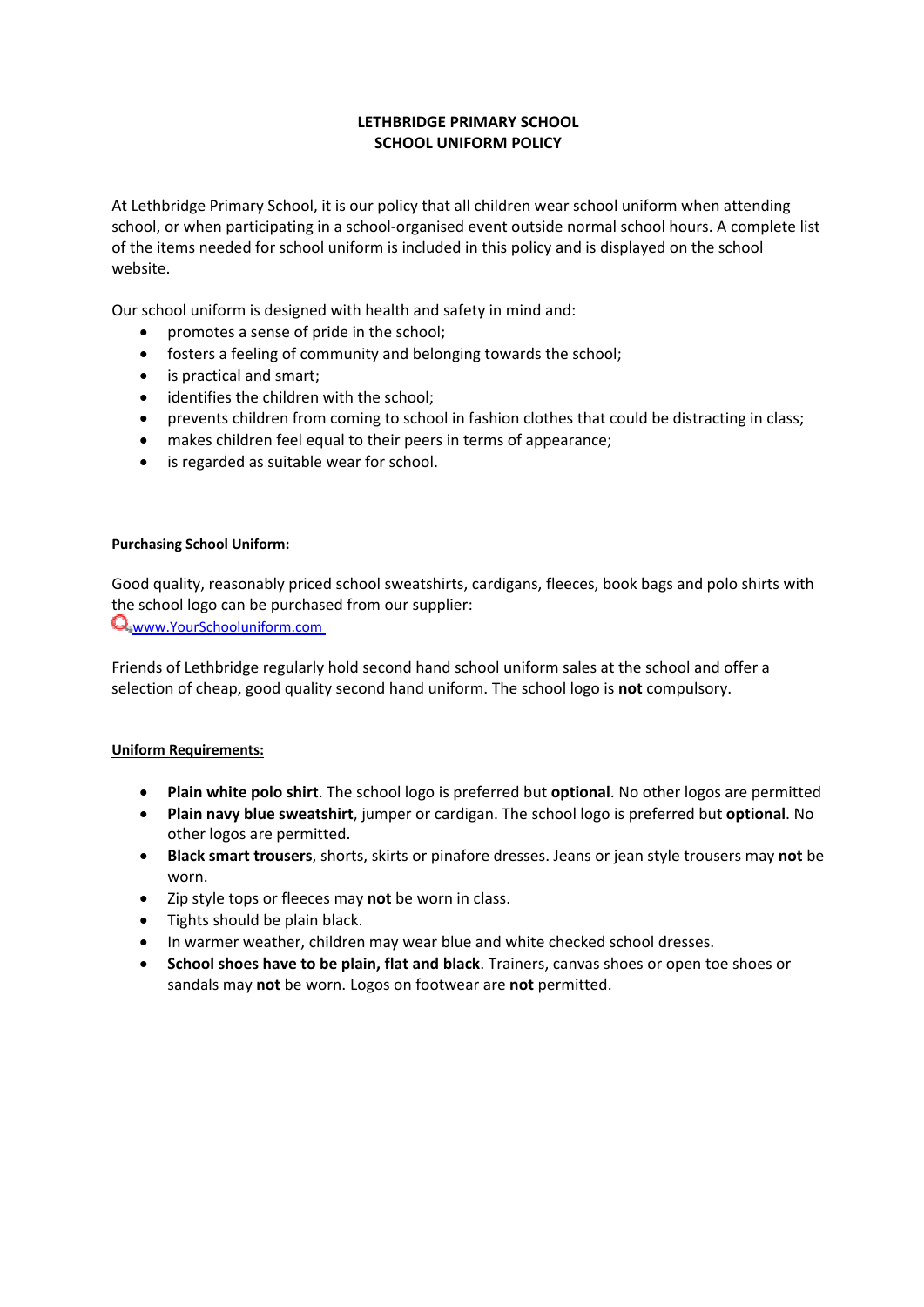# **LETHBRIDGE PRIMARY SCHOOL SCHOOL UNIFORM POLICY**

At Lethbridge Primary School, it is our policy that all children wear school uniform when attending school, or when participating in a school‐organised event outside normal school hours. A complete list of the items needed for school uniform is included in this policy and is displayed on the school website.

Our school uniform is designed with health and safety in mind and:

- promotes a sense of pride in the school;
- fosters a feeling of community and belonging towards the school;
- is practical and smart;
- identifies the children with the school;
- prevents children from coming to school in fashion clothes that could be distracting in class;
- makes children feel equal to their peers in terms of appearance;
- is regarded as suitable wear for school.

#### **Purchasing School Uniform:**

Good quality, reasonably priced school sweatshirts, cardigans, fleeces, book bags and polo shirts with [the](http://www.yourschooluniform.com/schools/LethbridgePrimarySchoolSN14BY/?p=62587&t=+Lethbridge+T+Shirt++with+logo+++++++) school logo can be purchased from our supplier:

[www.YourSchooluniform.com](http://www.yourschooluniform.com/schools/LethbridgePrimarySchoolSN14BY/?p=62587&t=+Lethbridge+T+Shirt++with+logo+++++++)

Friends of Lethbridge regularly hold second hand school uniform sales at the school and offer a selection of cheap, good quality second hand uniform. The school logo is **not** compulsory.

#### **Uniform Requirements:**

- **Plain white polo shirt**. The school logo is preferred but **optional**. No other logos are permitted
- **Plain navy blue sweatshirt**, jumper or cardigan. The school logo is preferred but **optional**. No other logos are permitted.
- **Black smart trousers**, shorts, skirts or pinafore dresses. Jeans or jean style trousers may **not** be worn.
- Zip style tops or fleeces may **not** be worn in class.
- Tights should be plain black.
- In warmer weather, children may wear blue and white checked school dresses.
- **School shoes have to be plain, flat and black**. Trainers, canvas shoes or open toe shoes or sandals may **not** be worn. Logos on footwear are **not** permitted.